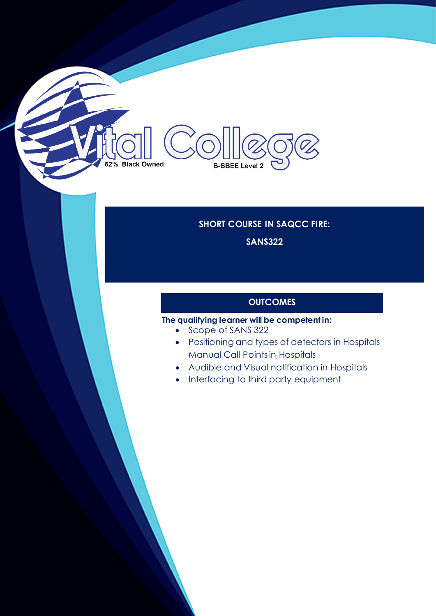# 62% Black Owned **B-BBEE Level 2**

# **SHORT COURSE IN SAQCC FIRE:**

**SANS322**

# **OUTCOMES**

### **The qualifying learner will be competent in:**

- Scope of SANS 322
- Positioning and types of detectors in Hospitals Manual Call Points in Hospitals
- Audible and Visual notification in Hospitals
- Interfacing to third party equipment